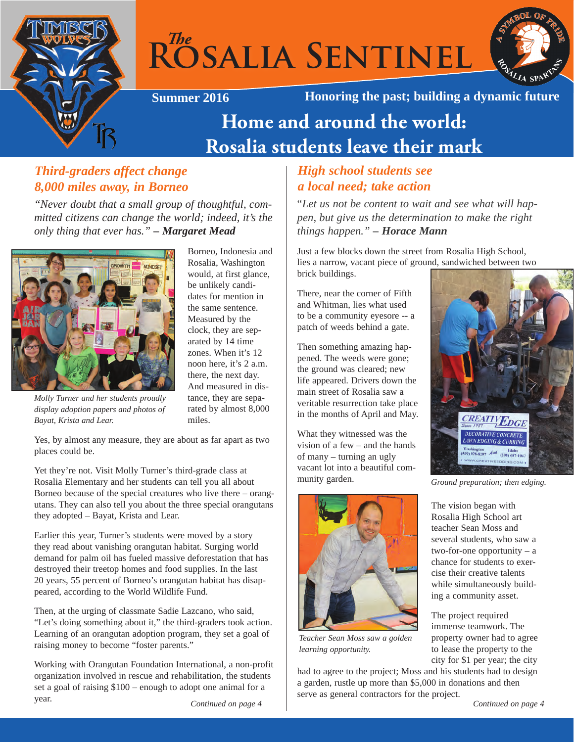

# $R^{The}$ SALIA SENTINEL



Borneo, Indonesia and Rosalia, Washington would, at first glance, be unlikely candidates for mention in the same sentence. Measured by the clock, they are separated by 14 time zones. When it's 12 noon here, it's 2 a.m. there, the next day. And measured in distance, they are separated by almost 8,000

**Summer 2016 Honoring the past; building a dynamic future**

# **Home and around the world: Rosalia students leave their mark**

## *Third-graders affect change 8,000 miles away, in Borneo*

*"Never doubt that a small group of thoughtful, committed citizens can change the world; indeed, it's the only thing that ever has." – Margaret Mead*



*Molly Turner and her students proudly display adoption papers and photos of Bayat, Krista and Lear.* 

Yes, by almost any measure, they are about as far apart as two places could be.

miles.

Yet they're not. Visit Molly Turner's third-grade class at Rosalia Elementary and her students can tell you all about Borneo because of the special creatures who live there – orangutans. They can also tell you about the three special orangutans they adopted – Bayat, Krista and Lear.

Earlier this year, Turner's students were moved by a story they read about vanishing orangutan habitat. Surging world demand for palm oil has fueled massive deforestation that has destroyed their treetop homes and food supplies. In the last 20 years, 55 percent of Borneo's orangutan habitat has disappeared, according to the World Wildlife Fund.

Then, at the urging of classmate Sadie Lazcano, who said, "Let's doing something about it," the third-graders took action. Learning of an orangutan adoption program, they set a goal of raising money to become "foster parents."

Working with Orangutan Foundation International, a non-profit organization involved in rescue and rehabilitation, the students set a goal of raising \$100 – enough to adopt one animal for a year.

## *High school students see a local need; take action*

"*Let us not be content to wait and see what will happen, but give us the determination to make the right things happen." – Horace Mann*

Just a few blocks down the street from Rosalia High School, lies a narrow, vacant piece of ground, sandwiched between two brick buildings.

There, near the corner of Fifth and Whitman, lies what used to be a community eyesore -- a patch of weeds behind a gate.

Then something amazing happened. The weeds were gone; the ground was cleared; new life appeared. Drivers down the main street of Rosalia saw a veritable resurrection take place in the months of April and May.

What they witnessed was the vision of a few – and the hands of many – turning an ugly vacant lot into a beautiful community garden.



*Teacher Sean Moss saw a golden learning opportunity.*

had to agree to the project; Moss and his students had to design a garden, rustle up more than \$5,000 in donations and then serve as general contractors for the project.



*Ground preparation; then edging.*

The vision began with Rosalia High School art teacher Sean Moss and several students, who saw a two-for-one opportunity – a chance for students to exercise their creative talents while simultaneously building a community asset.

The project required immense teamwork. The property owner had to agree to lease the property to the city for \$1 per year; the city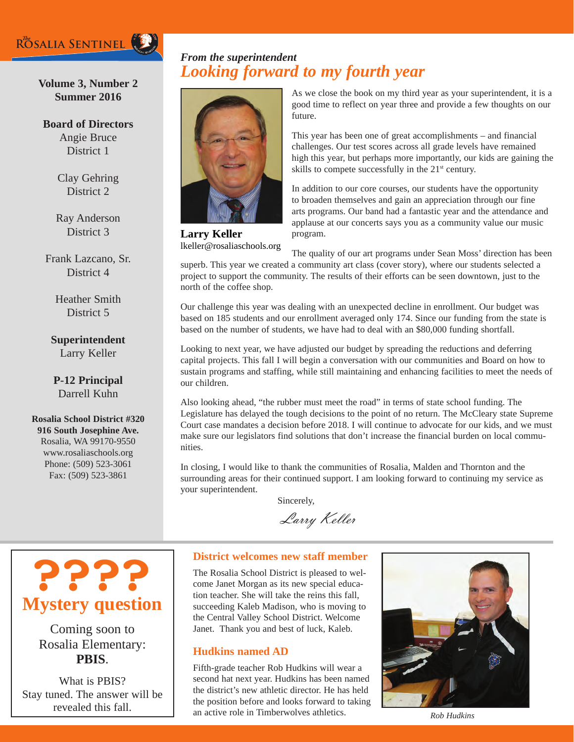

## **Volume 3, Number 2 Summer 2016**

**Board of Directors** Angie Bruce District 1

> Clay Gehring District 2

Ray Anderson District 3

Frank Lazcano, Sr. District 4

> Heather Smith District 5

## **Superintendent** Larry Keller

**P-12 Principal** Darrell Kuhn

**Rosalia School District #320 916 South Josephine Ave.** Rosalia, WA 99170-9550 [www.rosalia](http://www.rosalia.wednet.edu)schools.org Phone: (509) 523-3061 Fax: (509) 523-3861

## *Looking forward to my fourth year From the superintendent*



**Larry Keller** lkeller@rosaliaschools.org As we close the book on my third year as your superintendent, it is a good time to reflect on year three and provide a few thoughts on our future.

This year has been one of great accomplishments – and financial challenges. Our test scores across all grade levels have remained high this year, but perhaps more importantly, our kids are gaining the skills to compete successfully in the 21<sup>st</sup> century.

In addition to our core courses, our students have the opportunity to broaden themselves and gain an appreciation through our fine arts programs. Our band had a fantastic year and the attendance and applause at our concerts says you as a community value our music program.

The quality of our art programs under Sean Moss' direction has been superb. This year we created a community art class (cover story), where our students selected a project to support the community. The results of their efforts can be seen downtown, just to the north of the coffee shop.

Our challenge this year was dealing with an unexpected decline in enrollment. Our budget was based on 185 students and our enrollment averaged only 174. Since our funding from the state is based on the number of students, we have had to deal with an \$80,000 funding shortfall.

Looking to next year, we have adjusted our budget by spreading the reductions and deferring capital projects. This fall I will begin a conversation with our communities and Board on how to sustain programs and staffing, while still maintaining and enhancing facilities to meet the needs of our children.

Also looking ahead, "the rubber must meet the road" in terms of state school funding. The Legislature has delayed the tough decisions to the point of no return. The McCleary state Supreme Court case mandates a decision before 2018. I will continue to advocate for our kids, and we must make sure our legislators find solutions that don't increase the financial burden on local communities.

In closing, I would like to thank the communities of Rosalia, Malden and Thornton and the surrounding areas for their continued support. I am looking forward to continuing my service as your superintendent.

Sincerely,

Larry Keller



Coming soon to Rosalia Elementary: **PBIS**.

What is PBIS? Stay tuned. The answer will be revealed this fall.

#### **District welcomes new staff member**

The Rosalia School District is pleased to welcome Janet Morgan as its new special education teacher. She will take the reins this fall, succeeding Kaleb Madison, who is moving to the Central Valley School District. Welcome Janet. Thank you and best of luck, Kaleb.

#### **Hudkins named AD**

Fifth-grade teacher Rob Hudkins will wear a second hat next year. Hudkins has been named the district's new athletic director. He has held the position before and looks forward to taking an active role in Timberwolves athletics. *Rob Hudkins*

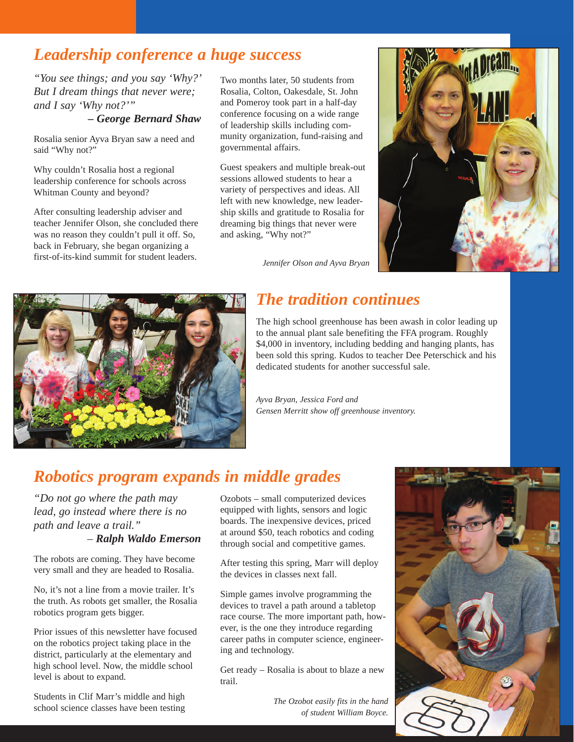## *Leadership conference a huge success*

*"You see things; and you say 'Why?' But I dream things that never were; and I say 'Why not?'"* 

## *– George Bernard Shaw*

Rosalia senior Ayva Bryan saw a need and said "Why not?"

Why couldn't Rosalia host a regional leadership conference for schools across Whitman County and beyond?

After consulting leadership adviser and teacher Jennifer Olson, she concluded there was no reason they couldn't pull it off. So, back in February, she began organizing a first-of-its-kind summit for student leaders. *Jennifer Olson and Ayva Bryan*

Two months later, 50 students from Rosalia, Colton, Oakesdale, St. John and Pomeroy took part in a half-day conference focusing on a wide range of leadership skills including community organization, fund-raising and governmental affairs.

Guest speakers and multiple break-out sessions allowed students to hear a variety of perspectives and ideas. All left with new knowledge, new leadership skills and gratitude to Rosalia for dreaming big things that never were and asking, "Why not?"





## *The tradition continues*

The high school greenhouse has been awash in color leading up to the annual plant sale benefiting the FFA program. Roughly \$4,000 in inventory, including bedding and hanging plants, has been sold this spring. Kudos to teacher Dee Peterschick and his dedicated students for another successful sale.

*Ayva Bryan, Jessica Ford and Gensen Merritt show off greenhouse inventory.*

## *Robotics program expands in middle grades*

*"Do not go where the path may lead, go instead where there is no path and leave a trail."* 

## *– Ralph Waldo Emerson*

The robots are coming. They have become very small and they are headed to Rosalia.

No, it's not a line from a movie trailer. It's the truth. As robots get smaller, the Rosalia robotics program gets bigger.

Prior issues of this newsletter have focused on the robotics project taking place in the district, particularly at the elementary and high school level. Now, the middle school level is about to expand.

Students in Clif Marr's middle and high school science classes have been testing Ozobots – small computerized devices equipped with lights, sensors and logic boards. The inexpensive devices, priced at around \$50, teach robotics and coding through social and competitive games.

After testing this spring, Marr will deploy the devices in classes next fall.

Simple games involve programming the devices to travel a path around a tabletop race course. The more important path, however, is the one they introduce regarding career paths in computer science, engineering and technology.

Get ready – Rosalia is about to blaze a new trail.

> *The Ozobot easily fits in the hand of student William Boyce.*